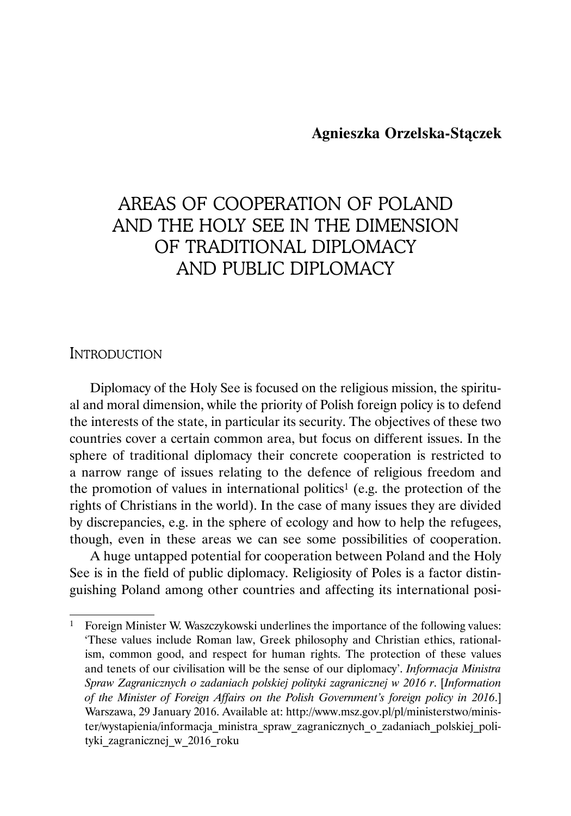### **Agnieszka Orzelska-Stączek**

# AREAS OF COOPERATION OF POLAND AND THE HOLY SEE IN THE DIMENSION OF TRADITIONAL DIPLOMACY AND PUBLIC DIPLOMACY

### **INTRODUCTION**

Diplomacy of the Holy See is focused on the religious mission, the spiritual and moral dimension, while the priority of Polish foreign policy is to defend the interests of the state, in particular its security. The objectives of these two countries cover a certain common area, but focus on different issues. In the sphere of traditional diplomacy their concrete cooperation is restricted to a narrow range of issues relating to the defence of religious freedom and the promotion of values in international politics<sup>1</sup> (e.g. the protection of the rights of Christians in the world). In the case of many issues they are divided by discrepancies, e.g. in the sphere of ecology and how to help the refugees, though, even in these areas we can see some possibilities of cooperation.

A huge untapped potential for cooperation between Poland and the Holy See is in the field of public diplomacy. Religiosity of Poles is a factor distinguishing Poland among other countries and affecting its international posi-

<sup>1</sup> Foreign Minister W. Waszczykowski underlines the importance of the following values: 'These values include Roman law, Greek philosophy and Christian ethics, rationalism, common good, and respect for human rights. The protection of these values and tenets of our civilisation will be the sense of our diplomacy'. *Informacja Ministra Spraw Zagranicznych o zadaniach polskiej polityki zagranicznej w 2016 r*. [*Information of the Minister of Foreign Affairs on the Polish Government's foreign policy in 2016*.] Warszawa, 29 January 2016. Available at: http://www.msz.gov.pl/pl/ministerstwo/minister/wystapienia/informacja\_ministra\_spraw\_zagranicznych\_o\_zadaniach\_polskiej\_polityki\_zagranicznej\_w\_2016\_roku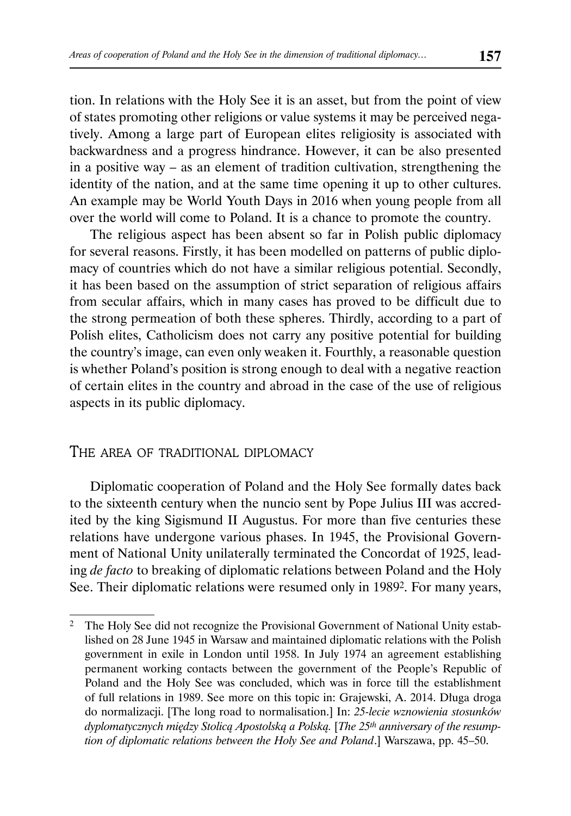tion. In relations with the Holy See it is an asset, but from the point of view of states promoting other religions or value systems it may be perceived negatively. Among a large part of European elites religiosity is associated with backwardness and a progress hindrance. However, it can be also presented in a positive way – as an element of tradition cultivation, strengthening the identity of the nation, and at the same time opening it up to other cultures. An example may be World Youth Days in 2016 when young people from all over the world will come to Poland. It is a chance to promote the country.

The religious aspect has been absent so far in Polish public diplomacy for several reasons. Firstly, it has been modelled on patterns of public diplomacy of countries which do not have a similar religious potential. Secondly, it has been based on the assumption of strict separation of religious affairs from secular affairs, which in many cases has proved to be difficult due to the strong permeation of both these spheres. Thirdly, according to a part of Polish elites, Catholicism does not carry any positive potential for building the country's image, can even only weaken it. Fourthly, a reasonable question is whether Poland's position is strong enough to deal with a negative reaction of certain elites in the country and abroad in the case of the use of religious aspects in its public diplomacy.

### THE AREA OF TRADITIONAL DIPLOMACY

Diplomatic cooperation of Poland and the Holy See formally dates back to the sixteenth century when the nuncio sent by Pope Julius III was accredited by the king Sigismund II Augustus. For more than five centuries these relations have undergone various phases. In 1945, the Provisional Government of National Unity unilaterally terminated the Concordat of 1925, leading *de facto* to breaking of diplomatic relations between Poland and the Holy See. Their diplomatic relations were resumed only in 19892. For many years,

<sup>2</sup> The Holy See did not recognize the Provisional Government of National Unity established on 28 June 1945 in Warsaw and maintained diplomatic relations with the Polish government in exile in London until 1958. In July 1974 an agreement establishing permanent working contacts between the government of the People's Republic of Poland and the Holy See was concluded, which was in force till the establishment of full relations in 1989. See more on this topic in: Grajewski, A. 2014. Długa droga do normalizacji. [The long road to normalisation.] In: *25-lecie wznowienia stosunków dyplomatycznych między Stolicą Apostolską a Polską.* [*The 25th anniversary of the resumption of diplomatic relations between the Holy See and Poland*.] Warszawa, pp. 45–50.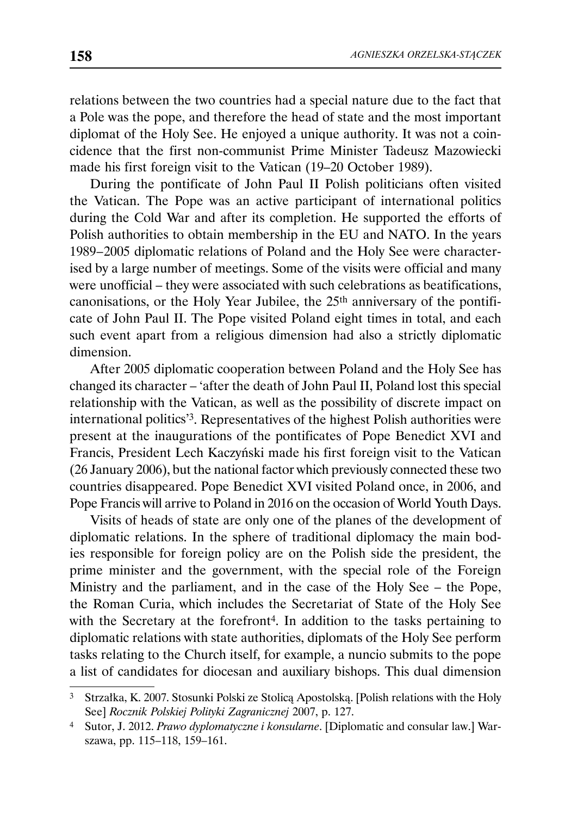relations between the two countries had a special nature due to the fact that a Pole was the pope, and therefore the head of state and the most important diplomat of the Holy See. He enjoyed a unique authority. It was not a coincidence that the first non-communist Prime Minister Tadeusz Mazowiecki made his first foreign visit to the Vatican (19–20 October 1989).

During the pontificate of John Paul II Polish politicians often visited the Vatican. The Pope was an active participant of international politics during the Cold War and after its completion. He supported the efforts of Polish authorities to obtain membership in the EU and NATO. In the years 1989 – 2005 diplomatic relations of Poland and the Holy See were characterised by a large number of meetings. Some of the visits were official and many were unofficial – they were associated with such celebrations as beatifications, canonisations, or the Holy Year Jubilee, the 25th anniversary of the pontificate of John Paul II. The Pope visited Poland eight times in total, and each such event apart from a religious dimension had also a strictly diplomatic dimension.

After 2005 diplomatic cooperation between Poland and the Holy See has changed its character – 'after the death of John Paul II, Poland lost this special relationship with the Vatican, as well as the possibility of discrete impact on international politics'3. Representatives of the highest Polish authorities were present at the inaugurations of the pontificates of Pope Benedict XVI and Francis, President Lech Kaczyński made his first foreign visit to the Vatican (26 January 2006), but the national factor which previously connected these two countries disappeared. Pope Benedict XVI visited Poland once, in 2006, and Pope Francis will arrive to Poland in 2016 on the occasion of World Youth Days.

Visits of heads of state are only one of the planes of the development of diplomatic relations. In the sphere of traditional diplomacy the main bodies responsible for foreign policy are on the Polish side the president, the prime minister and the government, with the special role of the Foreign Ministry and the parliament, and in the case of the Holy See – the Pope, the Roman Curia, which includes the Secretariat of State of the Holy See with the Secretary at the forefront<sup>4</sup>. In addition to the tasks pertaining to diplomatic relations with state authorities, diplomats of the Holy See perform tasks relating to the Church itself, for example, a nuncio submits to the pope a list of candidates for diocesan and auxiliary bishops. This dual dimension

<sup>3</sup> Strzałka, K. 2007. Stosunki Polski ze Stolicą Apostolską. [Polish relations with the Holy See] *Rocznik Polskiej Polityki Zagranicznej* 2007, p. 127.

<sup>4</sup> Sutor, J. 2012. *Prawo dyplomatyczne i konsularne*. [Diplomatic and consular law.] Warszawa, pp. 115–118, 159–161.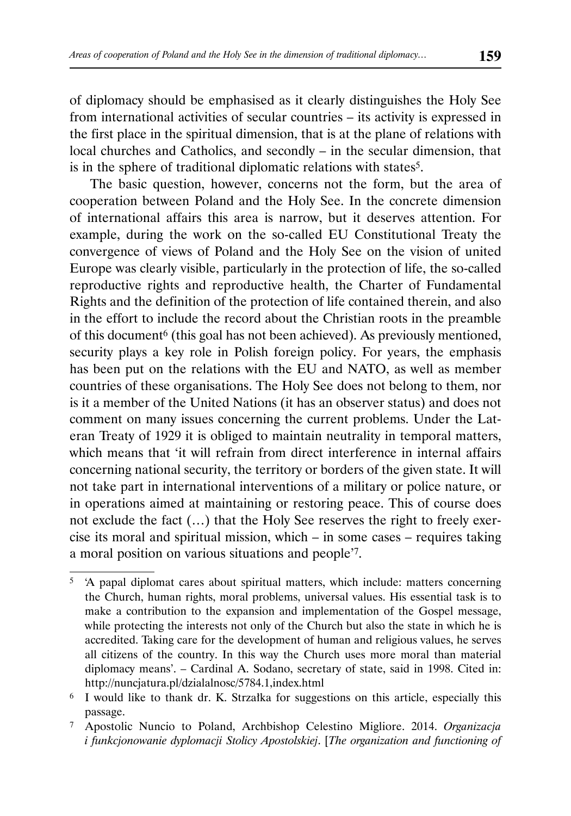of diplomacy should be emphasised as it clearly distinguishes the Holy See from international activities of secular countries – its activity is expressed in the first place in the spiritual dimension, that is at the plane of relations with local churches and Catholics, and secondly – in the secular dimension, that is in the sphere of traditional diplomatic relations with states5.

The basic question, however, concerns not the form, but the area of cooperation between Poland and the Holy See. In the concrete dimension of international affairs this area is narrow, but it deserves attention. For example, during the work on the so-called EU Constitutional Treaty the convergence of views of Poland and the Holy See on the vision of united Europe was clearly visible, particularly in the protection of life, the so-called reproductive rights and reproductive health, the Charter of Fundamental Rights and the definition of the protection of life contained therein, and also in the effort to include the record about the Christian roots in the preamble of this document<sup>6</sup> (this goal has not been achieved). As previously mentioned, security plays a key role in Polish foreign policy. For years, the emphasis has been put on the relations with the EU and NATO, as well as member countries of these organisations. The Holy See does not belong to them, nor is it a member of the United Nations (it has an observer status) and does not comment on many issues concerning the current problems. Under the Lateran Treaty of 1929 it is obliged to maintain neutrality in temporal matters, which means that 'it will refrain from direct interference in internal affairs concerning national security, the territory or borders of the given state. It will not take part in international interventions of a military or police nature, or in operations aimed at maintaining or restoring peace. This of course does not exclude the fact (…) that the Holy See reserves the right to freely exercise its moral and spiritual mission, which – in some cases – requires taking a moral position on various situations and people'7.

<sup>5 &#</sup>x27;A papal diplomat cares about spiritual matters, which include: matters concerning the Church, human rights, moral problems, universal values. His essential task is to make a contribution to the expansion and implementation of the Gospel message, while protecting the interests not only of the Church but also the state in which he is accredited. Taking care for the development of human and religious values, he serves all citizens of the country. In this way the Church uses more moral than material diplomacy means'. – Cardinal A. Sodano, secretary of state, said in 1998. Cited in: http://nuncjatura.pl/dzialalnosc/5784.1,index .html

<sup>6</sup> I would like to thank dr. K. Strzałka for suggestions on this article, especially this passage.

<sup>7</sup> Apostolic Nuncio to Poland, Archbishop Celestino Migliore. 2014. *Organizacja i funkcjonowanie dyplomacji Stolicy Apostolskiej*. [*The organization and functioning of*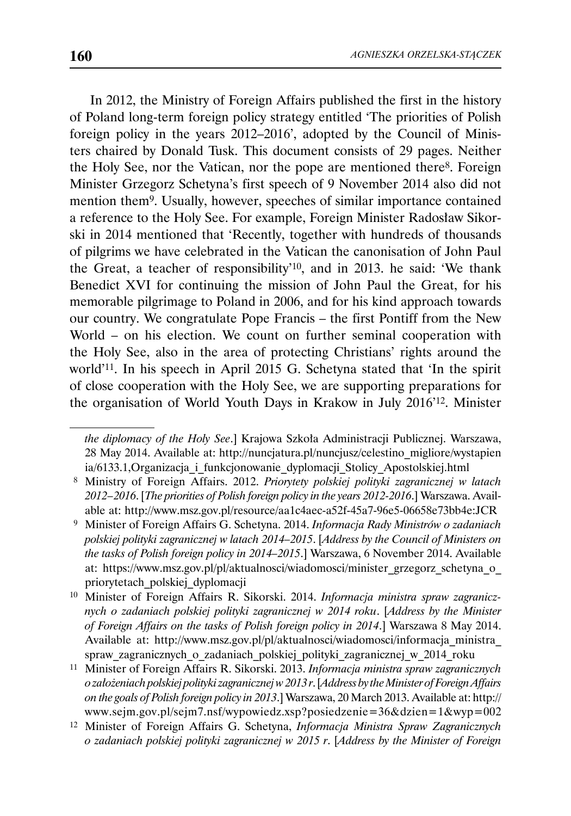In 2012, the Ministry of Foreign Affairs published the first in the history of Poland long-term foreign policy strategy entitled 'The priorities of Polish foreign policy in the years 2012–2016', adopted by the Council of Ministers chaired by Donald Tusk. This document consists of 29 pages. Neither the Holy See, nor the Vatican, nor the pope are mentioned there<sup>8</sup>. Foreign Minister Grzegorz Schetyna's first speech of 9 November 2014 also did not mention them9. Usually, however, speeches of similar importance contained a reference to the Holy See. For example, Foreign Minister Radosław Sikorski in 2014 mentioned that 'Recently, together with hundreds of thousands of pilgrims we have celebrated in the Vatican the canonisation of John Paul the Great, a teacher of responsibility'10, and in 2013. he said: 'We thank Benedict XVI for continuing the mission of John Paul the Great, for his memorable pilgrimage to Poland in 2006, and for his kind approach towards our country. We congratulate Pope Francis – the first Pontiff from the New World – on his election. We count on further seminal cooperation with the Holy See, also in the area of protecting Christians' rights around the world'11. In his speech in April 2015 G. Schetyna stated that 'In the spirit of close cooperation with the Holy See, we are supporting preparations for the organisation of World Youth Days in Krakow in July 2016'12. Minister

*the diplomacy of the Holy See*.] Krajowa Szkoła Administracji Publicznej. Warszawa, 28 May 2014. Available at: http://nuncjatura.pl/nuncjusz/celestino\_migliore/wystapien ia/6133.1,Organizacja\_i\_funkcjonowanie\_dyplomacji\_Stolicy\_Apostolskiej.html

 <sup>8</sup> Ministry of Foreign Affairs. 2012. *Priorytety polskiej polityki zagranicznej w latach 2012 – 2016*. [*The priorities of Polish foreign policy in the years 2012-2016*.] Warszawa. Available at: http://www.msz.gov.pl/resource/aa1c4aec-a52f-45a7-96e5-06658e73bb4e:JCR

 <sup>9</sup> Minister of Foreign Affairs G. Schetyna. 2014. *Informacja Rady Ministrów o zadaniach polskiej polityki zagranicznej w latach 2014–2015*. [*Address by the Council of Ministers on the tasks of Polish foreign policy in 2014–2015*.] Warszawa, 6 November 2014. Available at: https://www.msz.gov.pl/pl/aktualnosci/wiadomosci/minister\_grzegorz\_schetyna\_o\_ priorytetach\_polskiej\_dyplomacji

<sup>10</sup> Minister of Foreign Affairs R. Sikorski. 2014. *Informacja ministra spraw zagranicznych o zadaniach polskiej polityki zagranicznej w 2014 roku*. [*Address by the Minister of Foreign Affairs on the tasks of Polish foreign policy in 2014*.] Warszawa 8 May 2014. Available at: http://www.msz.gov.pl/pl/aktualnosci/wiadomosci/informacja\_ministra\_ spraw\_zagranicznych\_o\_zadaniach\_polskiej\_polityki\_zagranicznej\_w\_2014\_roku

<sup>11</sup> Minister of Foreign Affairs R. Sikorski. 2013. *Informacja ministra spraw zagranicznych o założeniach polskiej polityki zagranicznej w 2013 r*. [*Address by the Minister of Foreign Affairs on the goals of Polish foreign policy in 2013*.] Warszawa, 20 March 2013. Available at: http:// www.sejm.gov.pl/sejm7.nsf/wypowiedz.xsp?posiedzenie=36&dzien=1&wyp=002

<sup>12</sup> Minister of Foreign Affairs G. Schetyna, *Informacja Ministra Spraw Zagranicznych o zadaniach polskiej polityki zagranicznej w 2015 r*. [*Address by the Minister of Foreign*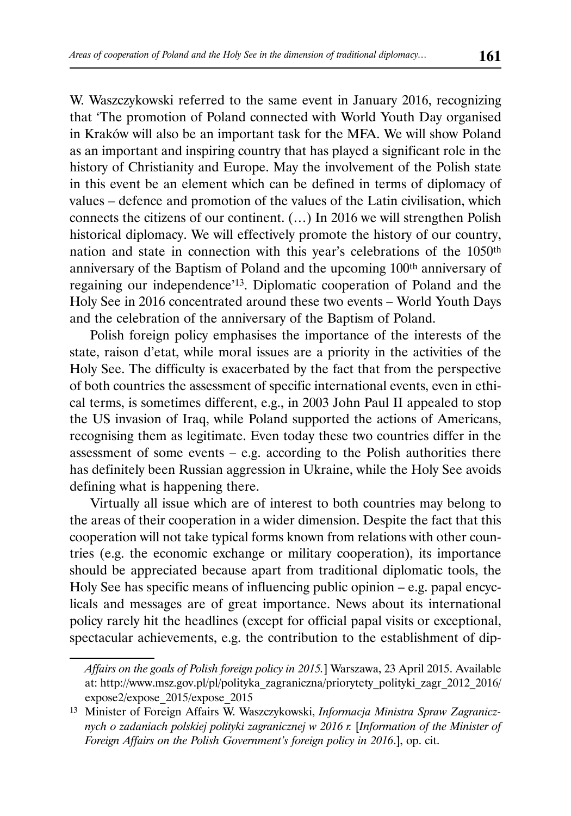W. Waszczykowski referred to the same event in January 2016, recognizing that 'The promotion of Poland connected with World Youth Day organised in Kraków will also be an important task for the MFA. We will show Poland as an important and inspiring country that has played a significant role in the history of Christianity and Europe. May the involvement of the Polish state in this event be an element which can be defined in terms of diplomacy of values – defence and promotion of the values of the Latin civilisation, which connects the citizens of our continent. (…) In 2016 we will strengthen Polish historical diplomacy. We will effectively promote the history of our country, nation and state in connection with this year's celebrations of the 1050th anniversary of the Baptism of Poland and the upcoming 100th anniversary of regaining our independence'13. Diplomatic cooperation of Poland and the Holy See in 2016 concentrated around these two events – World Youth Days and the celebration of the anniversary of the Baptism of Poland.

Polish foreign policy emphasises the importance of the interests of the state, raison d'etat, while moral issues are a priority in the activities of the Holy See. The difficulty is exacerbated by the fact that from the perspective of both countries the assessment of specific international events, even in ethical terms, is sometimes different, e.g., in 2003 John Paul II appealed to stop the US invasion of Iraq, while Poland supported the actions of Americans, recognising them as legitimate. Even today these two countries differ in the assessment of some events  $-$  e.g. according to the Polish authorities there has definitely been Russian aggression in Ukraine, while the Holy See avoids defining what is happening there.

Virtually all issue which are of interest to both countries may belong to the areas of their cooperation in a wider dimension. Despite the fact that this cooperation will not take typical forms known from relations with other countries (e.g. the economic exchange or military cooperation), its importance should be appreciated because apart from traditional diplomatic tools, the Holy See has specific means of influencing public opinion – e.g. papal encyclicals and messages are of great importance. News about its international policy rarely hit the headlines (except for official papal visits or exceptional, spectacular achievements, e.g. the contribution to the establishment of dip-

*Affairs on the goals of Polish foreign policy in 2015.*] Warszawa, 23 April 2015. Available at: http://www.msz.gov.pl/pl/polityka\_zagraniczna/priorytety\_polityki\_zagr\_2012\_2016/ expose2/expose\_2015/expose\_2015

<sup>13</sup> Minister of Foreign Affairs W. Waszczykowski, *Informacja Ministra Spraw Zagranicznych o zadaniach polskiej polityki zagranicznej w 2016 r.* [*Information of the Minister of Foreign Affairs on the Polish Government's foreign policy in 2016*.], op. cit.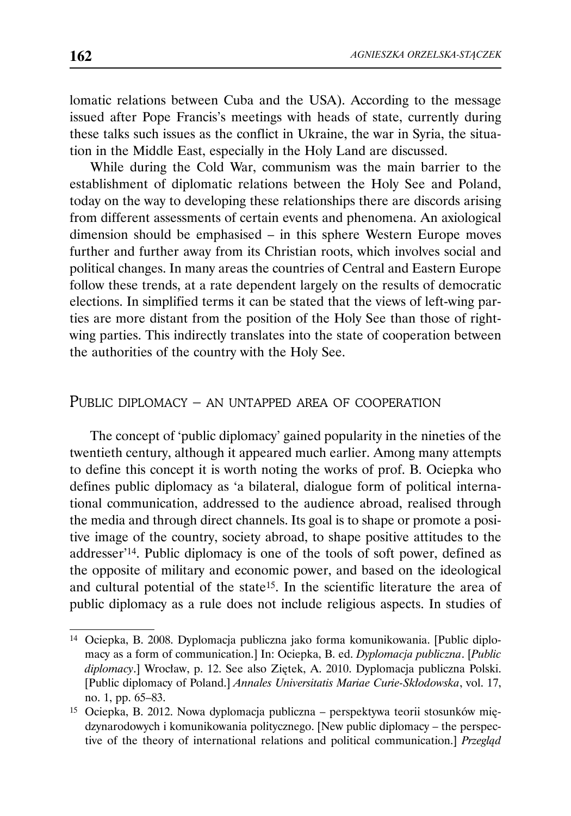lomatic relations between Cuba and the USA). According to the message issued after Pope Francis's meetings with heads of state, currently during these talks such issues as the conflict in Ukraine, the war in Syria, the situation in the Middle East, especially in the Holy Land are discussed.

While during the Cold War, communism was the main barrier to the establishment of diplomatic relations between the Holy See and Poland, today on the way to developing these relationships there are discords arising from different assessments of certain events and phenomena. An axiological dimension should be emphasised – in this sphere Western Europe moves further and further away from its Christian roots, which involves social and political changes. In many areas the countries of Central and Eastern Europe follow these trends, at a rate dependent largely on the results of democratic elections. In simplified terms it can be stated that the views of left-wing parties are more distant from the position of the Holy See than those of rightwing parties. This indirectly translates into the state of cooperation between the authorities of the country with the Holy See.

### PUBLIC DIPLOMACY – AN UNTAPPED AREA OF COOPERATION

The concept of 'public diplomacy' gained popularity in the nineties of the twentieth century, although it appeared much earlier. Among many attempts to define this concept it is worth noting the works of prof. B. Ociepka who defines public diplomacy as 'a bilateral, dialogue form of political international communication, addressed to the audience abroad, realised through the media and through direct channels. Its goal is to shape or promote a positive image of the country, society abroad, to shape positive attitudes to the addresser'14. Public diplomacy is one of the tools of soft power, defined as the opposite of military and economic power, and based on the ideological and cultural potential of the state15. In the scientific literature the area of public diplomacy as a rule does not include religious aspects. In studies of

<sup>14</sup> Ociepka, B. 2008. Dyplomacja publiczna jako forma komunikowania. [Public diplomacy as a form of communication.] In: Ociepka, B. ed. *Dyplomacja publiczna*. [*Public diplomacy*.] Wrocław, p. 12. See also Ziętek, A. 2010. Dyplomacja publiczna Polski. [Public diplomacy of Poland.] *Annales Universitatis Mariae Curie-Skłodowska*, vol. 17, no. 1, pp. 65–83.

<sup>15</sup> Ociepka, B. 2012. Nowa dyplomacja publiczna – perspektywa teorii stosunków międzynarodowych i komunikowania politycznego. [New public diplomacy – the perspective of the theory of international relations and political communication.] *Przegląd*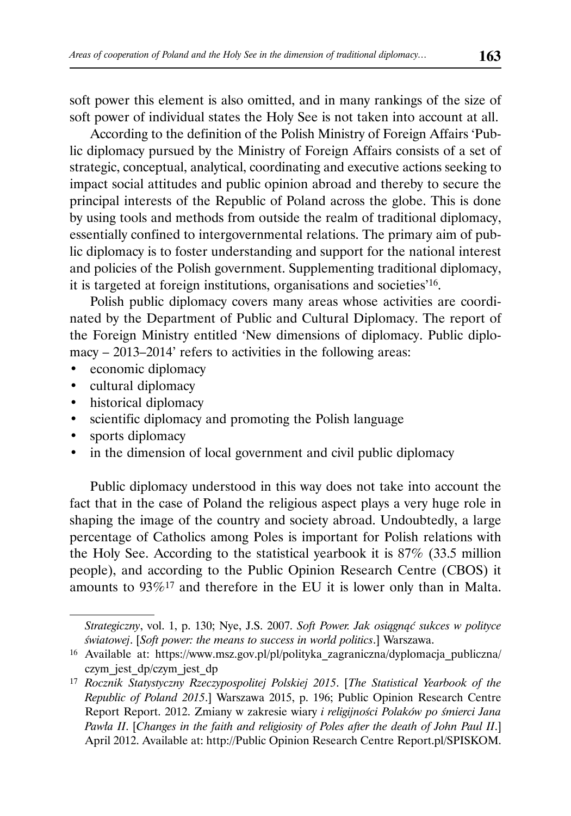soft power this element is also omitted, and in many rankings of the size of soft power of individual states the Holy See is not taken into account at all.

According to the definition of the Polish Ministry of Foreign Affairs 'Public diplomacy pursued by the Ministry of Foreign Affairs consists of a set of strategic, conceptual, analytical, coordinating and executive actions seeking to impact social attitudes and public opinion abroad and thereby to secure the principal interests of the Republic of Poland across the globe. This is done by using tools and methods from outside the realm of traditional diplomacy, essentially confined to intergovernmental relations. The primary aim of public diplomacy is to foster understanding and support for the national interest and policies of the Polish government. Supplementing traditional diplomacy, it is targeted at foreign institutions, organisations and societies'16.

Polish public diplomacy covers many areas whose activities are coordinated by the Department of Public and Cultural Diplomacy. The report of the Foreign Ministry entitled 'New dimensions of diplomacy. Public diplomacy – 2013–2014' refers to activities in the following areas:

- economic diplomacy
- cultural diplomacy
- historical diplomacy
- scientific diplomacy and promoting the Polish language
- sports diplomacy
- in the dimension of local government and civil public diplomacy

Public diplomacy understood in this way does not take into account the fact that in the case of Poland the religious aspect plays a very huge role in shaping the image of the country and society abroad. Undoubtedly, a large percentage of Catholics among Poles is important for Polish relations with the Holy See. According to the statistical yearbook it is 87% (33.5 million people), and according to the Public Opinion Research Centre (CBOS) it amounts to 93%17 and therefore in the EU it is lower only than in Malta.

*Strategiczny*, vol. 1, p. 130; Nye, J.S. 2007. *Soft Power. Jak osiągnąć sukces w polityce światowej*. [*Soft power: the means to success in world politics*.] Warszawa.

<sup>16</sup> Available at: https://www.msz.gov.pl/pl/polityka\_zagraniczna/dyplomacja\_publiczna/ czym\_jest\_dp/czym\_jest\_dp

<sup>17</sup> *Rocznik Statystyczny Rzeczypospolitej Polskiej 2015*. [*The Statistical Yearbook of the Republic of Poland 2015*.] Warszawa 2015, p. 196; Public Opinion Research Centre Report Report. 2012. Zmiany w zakresie wiary *i religijności Polaków po śmierci Jana Pawła II*. [*Changes in the faith and religiosity of Poles after the death of John Paul II*.] April 2012. Available at: http://Public Opinion Research Centre Report.pl/SPISKOM.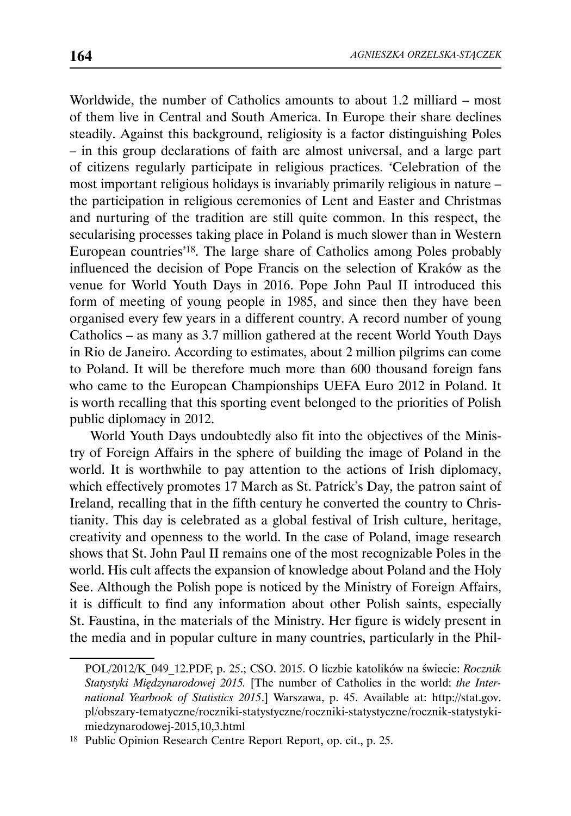Worldwide, the number of Catholics amounts to about 1.2 milliard – most of them live in Central and South America. In Europe their share declines steadily. Against this background, religiosity is a factor distinguishing Poles – in this group declarations of faith are almost universal, and a large part of citizens regularly participate in religious practices. 'Celebration of the most important religious holidays is invariably primarily religious in nature – the participation in religious ceremonies of Lent and Easter and Christmas and nurturing of the tradition are still quite common. In this respect, the secularising processes taking place in Poland is much slower than in Western European countries'18. The large share of Catholics among Poles probably influenced the decision of Pope Francis on the selection of Kraków as the venue for World Youth Days in 2016. Pope John Paul II introduced this form of meeting of young people in 1985, and since then they have been organised every few years in a different country. A record number of young Catholics – as many as 3.7 million gathered at the recent World Youth Days in Rio de Janeiro. According to estimates, about 2 million pilgrims can come to Poland. It will be therefore much more than 600 thousand foreign fans who came to the European Championships UEFA Euro 2012 in Poland. It is worth recalling that this sporting event belonged to the priorities of Polish public diplomacy in 2012.

World Youth Days undoubtedly also fit into the objectives of the Ministry of Foreign Affairs in the sphere of building the image of Poland in the world. It is worthwhile to pay attention to the actions of Irish diplomacy, which effectively promotes 17 March as St. Patrick's Day, the patron saint of Ireland, recalling that in the fifth century he converted the country to Christianity. This day is celebrated as a global festival of Irish culture, heritage, creativity and openness to the world. In the case of Poland, image research shows that St. John Paul II remains one of the most recognizable Poles in the world. His cult affects the expansion of knowledge about Poland and the Holy See. Although the Polish pope is noticed by the Ministry of Foreign Affairs, it is difficult to find any information about other Polish saints, especially St. Faustina, in the materials of the Ministry. Her figure is widely present in the media and in popular culture in many countries, particularly in the Phil-

POL/2012/K\_049\_12.PDF, p. 25.; CSO. 2015. O liczbie katolików na świecie: *Rocznik Statystyki Międzynarodowej 2015.* [The number of Catholics in the world: *the International Yearbook of Statistics 2015*.] Warszawa, p. 45. Available at: http://stat.gov. pl/obszary-tematyczne/roczniki-statystyczne/roczniki-statystyczne/rocznik-statystykimiedzynarodowej-2015,10,3.html

<sup>18</sup> Public Opinion Research Centre Report Report, op. cit., p. 25.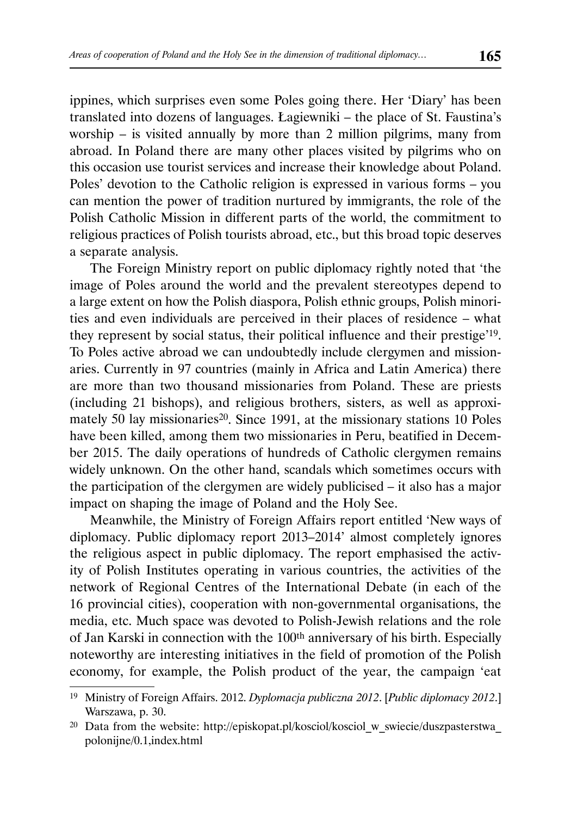ippines, which surprises even some Poles going there. Her 'Diary' has been translated into dozens of languages. Łagiewniki – the place of St. Faustina's worship – is visited annually by more than 2 million pilgrims, many from abroad. In Poland there are many other places visited by pilgrims who on this occasion use tourist services and increase their knowledge about Poland. Poles' devotion to the Catholic religion is expressed in various forms – you can mention the power of tradition nurtured by immigrants, the role of the Polish Catholic Mission in different parts of the world, the commitment to religious practices of Polish tourists abroad, etc., but this broad topic deserves a separate analysis.

The Foreign Ministry report on public diplomacy rightly noted that 'the image of Poles around the world and the prevalent stereotypes depend to a large extent on how the Polish diaspora, Polish ethnic groups, Polish minorities and even individuals are perceived in their places of residence – what they represent by social status, their political influence and their prestige'19. To Poles active abroad we can undoubtedly include clergymen and missionaries. Currently in 97 countries (mainly in Africa and Latin America) there are more than two thousand missionaries from Poland. These are priests (including 21 bishops), and religious brothers, sisters, as well as approximately 50 lay missionaries<sup>20</sup>. Since 1991, at the missionary stations 10 Poles have been killed, among them two missionaries in Peru, beatified in December 2015. The daily operations of hundreds of Catholic clergymen remains widely unknown. On the other hand, scandals which sometimes occurs with the participation of the clergymen are widely publicised – it also has a major impact on shaping the image of Poland and the Holy See.

Meanwhile, the Ministry of Foreign Affairs report entitled 'New ways of diplomacy. Public diplomacy report 2013–2014' almost completely ignores the religious aspect in public diplomacy. The report emphasised the activity of Polish Institutes operating in various countries, the activities of the network of Regional Centres of the International Debate (in each of the 16 provincial cities), cooperation with non-governmental organisations, the media, etc. Much space was devoted to Polish-Jewish relations and the role of Jan Karski in connection with the 100th anniversary of his birth. Especially noteworthy are interesting initiatives in the field of promotion of the Polish economy, for example, the Polish product of the year, the campaign 'eat

<sup>19</sup> Ministry of Foreign Affairs. 2012. *Dyplomacja publiczna 2012*. [*Public diplomacy 2012*.] Warszawa, p. 30.

<sup>&</sup>lt;sup>20</sup> Data from the website: http://episkopat.pl/kosciol/kosciol\_w\_swiecie/duszpasterstwa\_ polonijne/0.1,index.html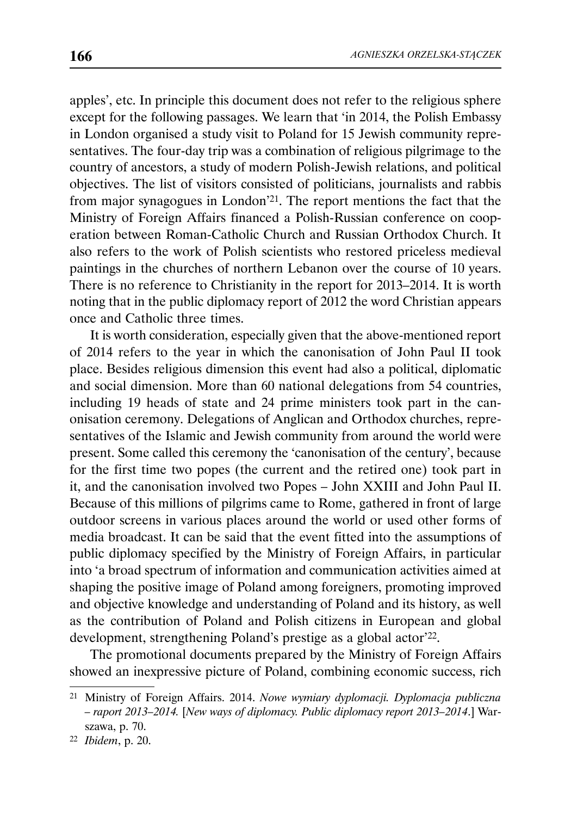apples', etc. In principle this document does not refer to the religious sphere except for the following passages. We learn that 'in 2014, the Polish Embassy in London organised a study visit to Poland for 15 Jewish community representatives. The four-day trip was a combination of religious pilgrimage to the country of ancestors, a study of modern Polish-Jewish relations, and political objectives. The list of visitors consisted of politicians, journalists and rabbis from major synagogues in London'21. The report mentions the fact that the Ministry of Foreign Affairs financed a Polish-Russian conference on cooperation between Roman-Catholic Church and Russian Orthodox Church. It also refers to the work of Polish scientists who restored priceless medieval paintings in the churches of northern Lebanon over the course of 10 years. There is no reference to Christianity in the report for 2013–2014. It is worth noting that in the public diplomacy report of 2012 the word Christian appears once and Catholic three times.

It is worth consideration, especially given that the above-mentioned report of 2014 refers to the year in which the canonisation of John Paul II took place. Besides religious dimension this event had also a political, diplomatic and social dimension. More than 60 national delegations from 54 countries, including 19 heads of state and 24 prime ministers took part in the canonisation ceremony. Delegations of Anglican and Orthodox churches, representatives of the Islamic and Jewish community from around the world were present. Some called this ceremony the 'canonisation of the century', because for the first time two popes (the current and the retired one) took part in it, and the canonisation involved two Popes – John XXIII and John Paul II. Because of this millions of pilgrims came to Rome, gathered in front of large outdoor screens in various places around the world or used other forms of media broadcast. It can be said that the event fitted into the assumptions of public diplomacy specified by the Ministry of Foreign Affairs, in particular into 'a broad spectrum of information and communication activities aimed at shaping the positive image of Poland among foreigners, promoting improved and objective knowledge and understanding of Poland and its history, as well as the contribution of Poland and Polish citizens in European and global development, strengthening Poland's prestige as a global actor<sup>'22</sup>.

The promotional documents prepared by the Ministry of Foreign Affairs showed an inexpressive picture of Poland, combining economic success, rich

<sup>22</sup> *Ibidem*, p. 20.

<sup>21</sup> Ministry of Foreign Affairs. 2014. *Nowe wymiary dyplomacji. Dyplomacja publiczna – raport 2013–2014.* [*New ways of diplomacy. Public diplomacy report 2013–2014*.] Warszawa, p. 70.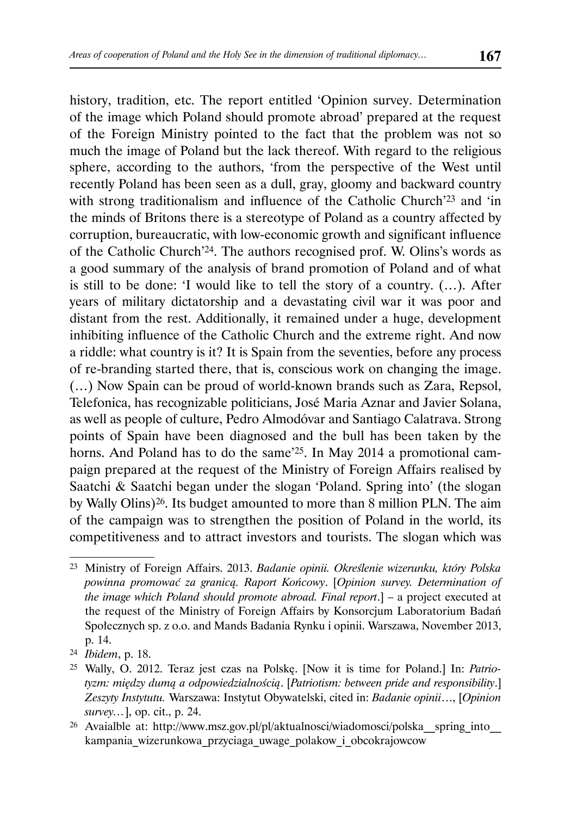history, tradition, etc. The report entitled 'Opinion survey. Determination of the image which Poland should promote abroad' prepared at the request of the Foreign Ministry pointed to the fact that the problem was not so much the image of Poland but the lack thereof. With regard to the religious sphere, according to the authors, 'from the perspective of the West until recently Poland has been seen as a dull, gray, gloomy and backward country with strong traditionalism and influence of the Catholic Church<sup>'23</sup> and 'in the minds of Britons there is a stereotype of Poland as a country affected by corruption, bureaucratic, with low-economic growth and significant influence of the Catholic Church'24. The authors recognised prof. W. Olins's words as a good summary of the analysis of brand promotion of Poland and of what is still to be done: 'I would like to tell the story of a country. (…). After years of military dictatorship and a devastating civil war it was poor and distant from the rest. Additionally, it remained under a huge, development inhibiting influence of the Catholic Church and the extreme right. And now a riddle: what country is it? It is Spain from the seventies, before any process of re-branding started there, that is, conscious work on changing the image. (…) Now Spain can be proud of world-known brands such as Zara, Repsol, Telefonica, has recognizable politicians, José Maria Aznar and Javier Solana, as well as people of culture, Pedro Almodóvar and Santiago Calatrava. Strong points of Spain have been diagnosed and the bull has been taken by the horns. And Poland has to do the same'25. In May 2014 a promotional campaign prepared at the request of the Ministry of Foreign Affairs realised by Saatchi & Saatchi began under the slogan 'Poland. Spring into' (the slogan by Wally Olins)26. Its budget amounted to more than 8 million PLN. The aim of the campaign was to strengthen the position of Poland in the world, its competitiveness and to attract investors and tourists. The slogan which was

<sup>23</sup> Ministry of Foreign Affairs. 2013. *Badanie opinii. Określenie wizerunku, który Polska powinna promować za granicą. Raport Końcowy*. [*Opinion survey. Determination of the image which Poland should promote abroad. Final report*.] – a project executed at the request of the Ministry of Foreign Affairs by Konsorcjum Laboratorium Badań Społecznych sp. z o.o. and Mands Badania Rynku i opinii. Warszawa, November 2013, p. 14.

<sup>24</sup> *Ibidem*, p. 18.

<sup>25</sup> Wally, O. 2012. Teraz jest czas na Polskę. [Now it is time for Poland.] In: *Patriotyzm: między dumą a odpowiedzialnością*. [*Patriotism: between pride and responsibility*.] *Zeszyty Instytutu.* Warszawa: Instytut Obywatelski, cited in: *Badanie opinii*…, [*Opinion survey…*], op. cit., p. 24.

<sup>26</sup> Avaialble at: http://www.msz.gov.pl/pl/aktualnosci/wiadomosci/polska\_\_spring\_into\_\_ kampania\_wizerunkowa\_przyciaga\_uwage\_polakow\_i\_obcokrajowcow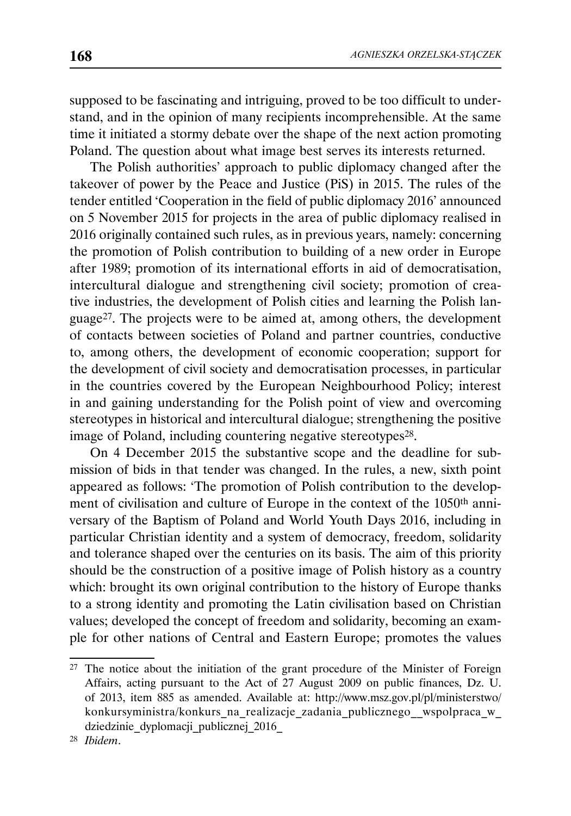supposed to be fascinating and intriguing, proved to be too difficult to understand, and in the opinion of many recipients incomprehensible. At the same time it initiated a stormy debate over the shape of the next action promoting Poland. The question about what image best serves its interests returned.

The Polish authorities' approach to public diplomacy changed after the takeover of power by the Peace and Justice (PiS) in 2015. The rules of the tender entitled 'Cooperation in the field of public diplomacy 2016' announced on 5 November 2015 for projects in the area of public diplomacy realised in 2016 originally contained such rules, as in previous years, namely: concerning the promotion of Polish contribution to building of a new order in Europe after 1989; promotion of its international efforts in aid of democratisation, intercultural dialogue and strengthening civil society; promotion of creative industries, the development of Polish cities and learning the Polish language27. The projects were to be aimed at, among others, the development of contacts between societies of Poland and partner countries, conductive to, among others, the development of economic cooperation; support for the development of civil society and democratisation processes, in particular in the countries covered by the European Neighbourhood Policy; interest in and gaining understanding for the Polish point of view and overcoming stereotypes in historical and intercultural dialogue; strengthening the positive image of Poland, including countering negative stereotypes28.

On 4 December 2015 the substantive scope and the deadline for submission of bids in that tender was changed. In the rules, a new, sixth point appeared as follows: 'The promotion of Polish contribution to the development of civilisation and culture of Europe in the context of the 1050th anniversary of the Baptism of Poland and World Youth Days 2016, including in particular Christian identity and a system of democracy, freedom, solidarity and tolerance shaped over the centuries on its basis. The aim of this priority should be the construction of a positive image of Polish history as a country which: brought its own original contribution to the history of Europe thanks to a strong identity and promoting the Latin civilisation based on Christian values; developed the concept of freedom and solidarity, becoming an example for other nations of Central and Eastern Europe; promotes the values

<sup>27</sup> The notice about the initiation of the grant procedure of the Minister of Foreign Affairs, acting pursuant to the Act of 27 August 2009 on public finances, Dz. U. of 2013, item 885 as amended. Available at: http://www.msz.gov.pl/pl/ministerstwo/ konkursyministra/konkurs\_na\_realizacje\_zadania\_publicznego\_\_wspolpraca\_w\_ dziedzinie\_dyplomacji\_publicznej\_2016\_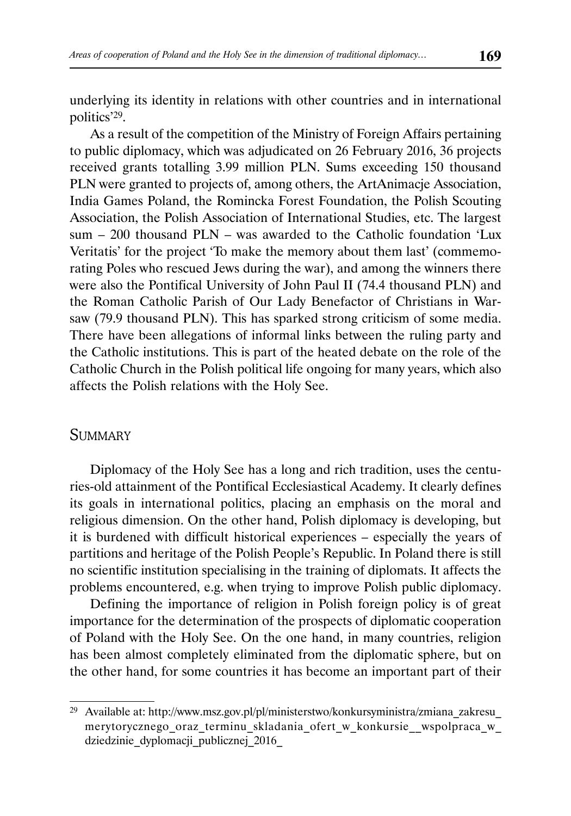underlying its identity in relations with other countries and in international politics'29.

As a result of the competition of the Ministry of Foreign Affairs pertaining to public diplomacy, which was adjudicated on 26 February 2016, 36 projects received grants totalling 3.99 million PLN. Sums exceeding 150 thousand PLN were granted to projects of, among others, the ArtAnimacje Association, India Games Poland, the Romincka Forest Foundation, the Polish Scouting Association, the Polish Association of International Studies, etc. The largest sum – 200 thousand PLN – was awarded to the Catholic foundation 'Lux Veritatis' for the project 'To make the memory about them last' (commemorating Poles who rescued Jews during the war), and among the winners there were also the Pontifical University of John Paul II (74.4 thousand PLN) and the Roman Catholic Parish of Our Lady Benefactor of Christians in Warsaw (79.9 thousand PLN). This has sparked strong criticism of some media. There have been allegations of informal links between the ruling party and the Catholic institutions. This is part of the heated debate on the role of the Catholic Church in the Polish political life ongoing for many years, which also affects the Polish relations with the Holy See.

#### **SUMMARY**

Diplomacy of the Holy See has a long and rich tradition, uses the centuries-old attainment of the Pontifical Ecclesiastical Academy. It clearly defines its goals in international politics, placing an emphasis on the moral and religious dimension. On the other hand, Polish diplomacy is developing, but it is burdened with difficult historical experiences – especially the years of partitions and heritage of the Polish People's Republic. In Poland there is still no scientific institution specialising in the training of diplomats. It affects the problems encountered, e.g. when trying to improve Polish public diplomacy.

Defining the importance of religion in Polish foreign policy is of great importance for the determination of the prospects of diplomatic cooperation of Poland with the Holy See. On the one hand, in many countries, religion has been almost completely eliminated from the diplomatic sphere, but on the other hand, for some countries it has become an important part of their

<sup>29</sup> Available at: http://www.msz.gov.pl/pl/ministerstwo/konkursyministra/zmiana\_zakresu\_ merytorycznego\_oraz\_terminu\_skladania\_ofert\_w\_konkursie\_\_wspolpraca\_w\_ dziedzinie\_dyplomacji\_publicznej\_2016\_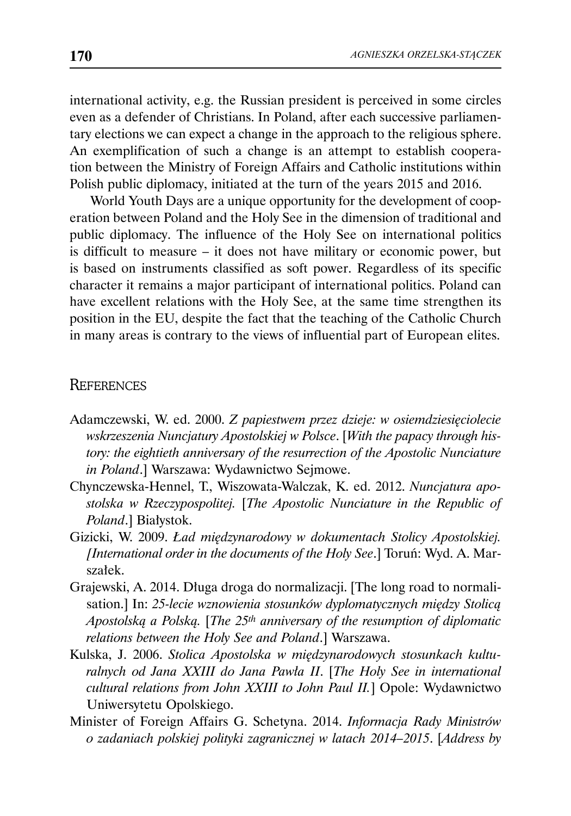international activity, e.g. the Russian president is perceived in some circles even as a defender of Christians. In Poland, after each successive parliamentary elections we can expect a change in the approach to the religious sphere. An exemplification of such a change is an attempt to establish cooperation between the Ministry of Foreign Affairs and Catholic institutions within Polish public diplomacy, initiated at the turn of the years 2015 and 2016.

World Youth Days are a unique opportunity for the development of cooperation between Poland and the Holy See in the dimension of traditional and public diplomacy. The influence of the Holy See on international politics is difficult to measure – it does not have military or economic power, but is based on instruments classified as soft power. Regardless of its specific character it remains a major participant of international politics. Poland can have excellent relations with the Holy See, at the same time strengthen its position in the EU, despite the fact that the teaching of the Catholic Church in many areas is contrary to the views of influential part of European elites.

#### **REFERENCES**

- Adamczewski, W. ed. 2000. *Z papiestwem przez dzieje: w osiemdziesięciolecie wskrzeszenia Nuncjatury Apostolskiej w Polsce*. [*With the papacy through history: the eightieth anniversary of the resurrection of the Apostolic Nunciature in Poland*.] Warszawa: Wydawnictwo Sejmowe.
- Chynczewska-Hennel, T., Wiszowata-Walczak, K. ed. 2012. *Nuncjatura apostolska w Rzeczypospolitej.* [*The Apostolic Nunciature in the Republic of Poland*.] Białystok.
- Gizicki, W. 2009. *Ład międzynarodowy w dokumentach Stolicy Apostolskiej. [International order in the documents of the Holy See*.] Toruń: Wyd. A. Marszałek.
- Grajewski, A. 2014. Długa droga do normalizacji. [The long road to normalisation.] In: *25-lecie wznowienia stosunków dyplomatycznych między Stolicą Apostolską a Polską.* [*The 25th anniversary of the resumption of diplomatic relations between the Holy See and Poland*.] Warszawa.
- Kulska, J. 2006. *Stolica Apostolska w międzynarodowych stosunkach kulturalnych od Jana XXIII do Jana Pawła II*. [*The Holy See in international cultural relations from John XXIII to John Paul II.*] Opole: Wydawnictwo Uniwersytetu Opolskiego.
- Minister of Foreign Affairs G. Schetyna. 2014. *Informacja Rady Ministrów o zadaniach polskiej polityki zagranicznej w latach 2014–2015*. [*Address by*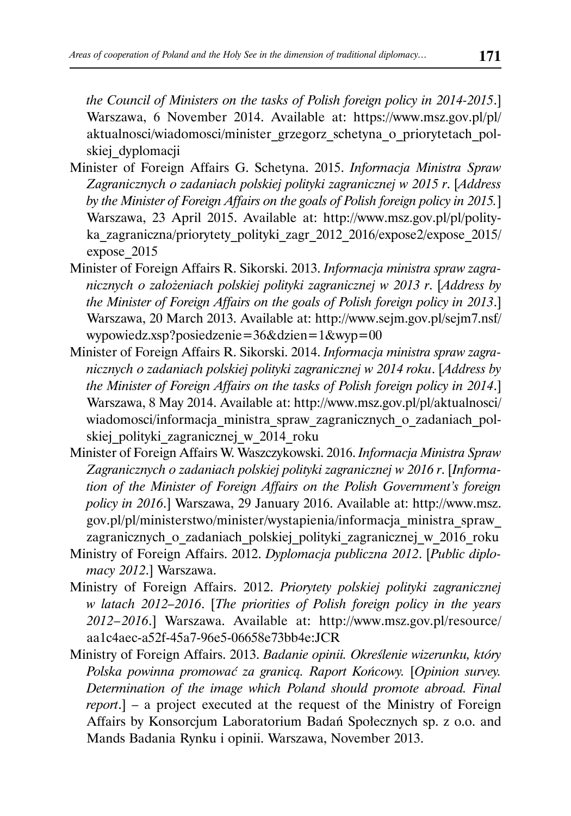*the Council of Ministers on the tasks of Polish foreign policy in 2014-2015*.] Warszawa, 6 November 2014. Available at: https://www.msz.gov.pl/pl/ aktualnosci/wiadomosci/minister\_grzegorz\_schetyna\_o\_priorytetach\_polskiej dyplomacji

- Minister of Foreign Affairs G. Schetyna. 2015. *Informacja Ministra Spraw Zagranicznych o zadaniach polskiej polityki zagranicznej w 2015 r*. [*Address by the Minister of Foreign Affairs on the goals of Polish foreign policy in 2015.*] Warszawa, 23 April 2015. Available at: http://www.msz.gov.pl/pl/polityka zagraniczna/priorytety polityki zagr 2012 2016/expose2/expose 2015/ expose\_2015
- Minister of Foreign Affairs R. Sikorski. 2013. *Informacja ministra spraw zagranicznych o założeniach polskiej polityki zagranicznej w 2013 r*. [*Address by the Minister of Foreign Affairs on the goals of Polish foreign policy in 2013*.] Warszawa, 20 March 2013. Available at: http://www.sejm.gov.pl/sejm7.nsf/ wypowiedz.xsp?posiedzenie=36&dzien=1&wyp=00
- Minister of Foreign Affairs R. Sikorski. 2014. *Informacja ministra spraw zagranicznych o zadaniach polskiej polityki zagranicznej w 2014 roku*. [*Address by the Minister of Foreign Affairs on the tasks of Polish foreign policy in 2014*.] Warszawa, 8 May 2014. Available at: http://www.msz.gov.pl/pl/aktualnosci/ wiadomosci/informacja\_ministra\_spraw\_zagranicznych\_o\_zadaniach\_polskiej polityki zagranicznej w 2014 roku
- Minister of Foreign Affairs W. Waszczykowski. 2016. *Informacja Ministra Spraw Zagranicznych o zadaniach polskiej polityki zagranicznej w 2016 r*. [*Information of the Minister of Foreign Affairs on the Polish Government's foreign policy in 2016*.] Warszawa, 29 January 2016. Available at: http://www.msz. gov.pl/pl/ministerstwo/minister/wystapienia/informacja\_ministra\_spraw\_ zagranicznych o zadaniach polskiej polityki zagranicznej w 2016 roku
- Ministry of Foreign Affairs. 2012. *Dyplomacja publiczna 2012*. [*Public diplomacy 2012*.] Warszawa.
- Ministry of Foreign Affairs. 2012. *Priorytety polskiej polityki zagranicznej w latach 2012–2016*. [*The priorities of Polish foreign policy in the years 2012 – 2016*.] Warszawa. Available at: http://www.msz.gov.pl/resource/ aa1c4aec-a52f-45a7-96e5-06658e73bb4e:JCR
- Ministry of Foreign Affairs. 2013. *Badanie opinii. Określenie wizerunku, który Polska powinna promować za granicą. Raport Końcowy.* [*Opinion survey. Determination of the image which Poland should promote abroad. Final report*.] – a project executed at the request of the Ministry of Foreign Affairs by Konsorcjum Laboratorium Badań Społecznych sp. z o.o. and Mands Badania Rynku i opinii. Warszawa, November 2013.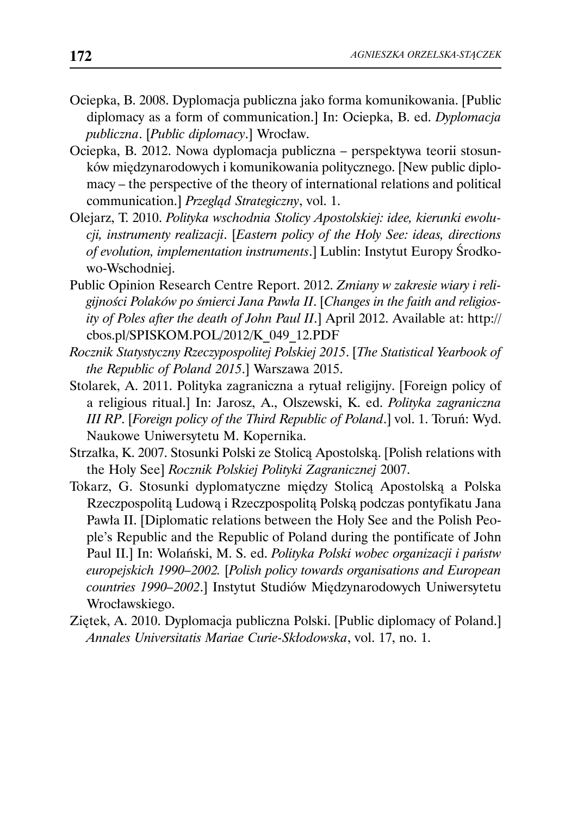- Ociepka, B. 2008. Dyplomacja publiczna jako forma komunikowania. [Public diplomacy as a form of communication.] In: Ociepka, B. ed. *Dyplomacja publiczna*. [*Public diplomacy*.] Wrocław.
- Ociepka, B. 2012. Nowa dyplomacja publiczna perspektywa teorii stosunków międzynarodowych i komunikowania politycznego. [New public diplomacy – the perspective of the theory of international relations and political communication.] *Przegląd Strategiczny*, vol. 1.
- Olejarz, T. 2010. *Polityka wschodnia Stolicy Apostolskiej: idee, kierunki ewolucji, instrumenty realizacji*. [*Eastern policy of the Holy See: ideas, directions of evolution, implementation instruments*.] Lublin: Instytut Europy Środkowo-Wschodniej.
- Public Opinion Research Centre Report. 2012. *Zmiany w zakresie wiary i religijności Polaków po śmierci Jana Pawła II*. [*Changes in the faith and religiosity of Poles after the death of John Paul II*.] April 2012. Available at: http:// cbos.pl/SPISKOM.POL/2012/K\_049\_12.PDF
- *Rocznik Statystyczny Rzeczypospolitej Polskiej 2015*. [*The Statistical Yearbook of the Republic of Poland 2015*.] Warszawa 2015.
- Stolarek, A. 2011. Polityka zagraniczna a rytuał religijny. [Foreign policy of a religious ritual.] In: Jarosz, A., Olszewski, K. ed. *Polityka zagraniczna III RP*. [*Foreign policy of the Third Republic of Poland*.] vol. 1. Toruń: Wyd. Naukowe Uniwersytetu M. Kopernika.
- Strzałka, K. 2007. Stosunki Polski ze Stolicą Apostolską. [Polish relations with the Holy See] *Rocznik Polskiej Polityki Zagranicznej* 2007.
- Tokarz, G. Stosunki dyplomatyczne między Stolicą Apostolską a Polska Rzeczpospolitą Ludową i Rzeczpospolitą Polską podczas pontyfikatu Jana Pawła II. [Diplomatic relations between the Holy See and the Polish People's Republic and the Republic of Poland during the pontificate of John Paul II.] In: Wolański, M. S. ed. *Polityka Polski wobec organizacji i państw europejskich 1990–2002.* [*Polish policy towards organisations and European countries 1990–2002*.] Instytut Studiów Międzynarodowych Uniwersytetu Wrocławskiego.
- Ziętek, A. 2010. Dyplomacja publiczna Polski. [Public diplomacy of Poland.] *Annales Universitatis Mariae Curie-Skłodowska*, vol. 17, no. 1.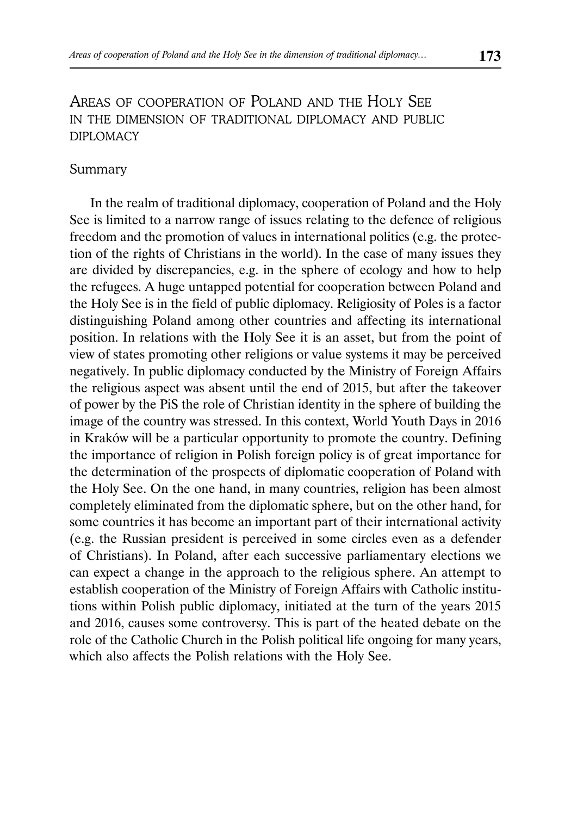### AREAS OF COOPERATION OF POLAND AND THE HOLY SEE IN THE DIMENSION OF TRADITIONAL DIPLOMACY AND PUBLIC DIPLOMACY

#### Summary

In the realm of traditional diplomacy, cooperation of Poland and the Holy See is limited to a narrow range of issues relating to the defence of religious freedom and the promotion of values in international politics (e.g. the protection of the rights of Christians in the world). In the case of many issues they are divided by discrepancies, e.g. in the sphere of ecology and how to help the refugees. A huge untapped potential for cooperation between Poland and the Holy See is in the field of public diplomacy. Religiosity of Poles is a factor distinguishing Poland among other countries and affecting its international position. In relations with the Holy See it is an asset, but from the point of view of states promoting other religions or value systems it may be perceived negatively. In public diplomacy conducted by the Ministry of Foreign Affairs the religious aspect was absent until the end of 2015, but after the takeover of power by the PiS the role of Christian identity in the sphere of building the image of the country was stressed. In this context, World Youth Days in 2016 in Kraków will be a particular opportunity to promote the country. Defining the importance of religion in Polish foreign policy is of great importance for the determination of the prospects of diplomatic cooperation of Poland with the Holy See. On the one hand, in many countries, religion has been almost completely eliminated from the diplomatic sphere, but on the other hand, for some countries it has become an important part of their international activity (e.g. the Russian president is perceived in some circles even as a defender of Christians). In Poland, after each successive parliamentary elections we can expect a change in the approach to the religious sphere. An attempt to establish cooperation of the Ministry of Foreign Affairs with Catholic institutions within Polish public diplomacy, initiated at the turn of the years 2015 and 2016, causes some controversy. This is part of the heated debate on the role of the Catholic Church in the Polish political life ongoing for many years, which also affects the Polish relations with the Holy See.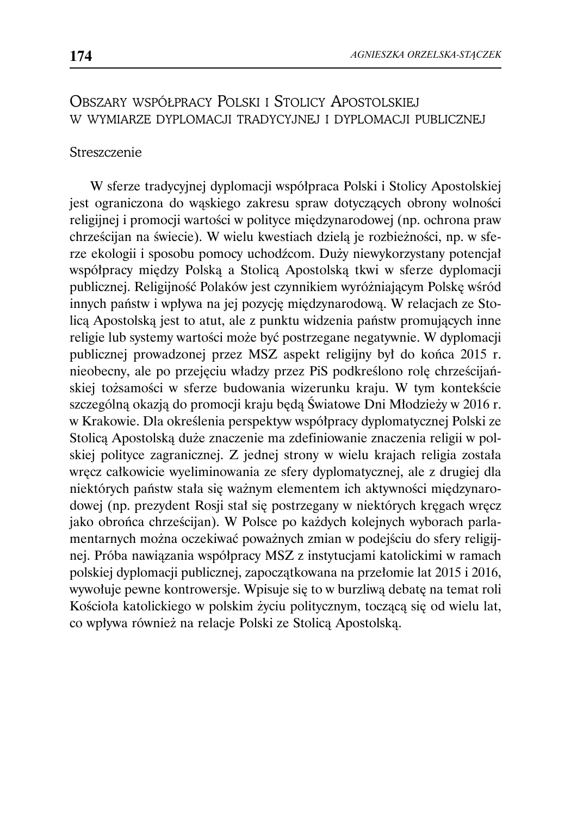### OBSZARY WSPÓŁPRACY POLSKI I STOLICY APOSTOLSKIEJ W WYMIARZE DYPLOMACJI TRADYCYJNEJ I DYPLOMACJI PUBLICZNEJ

#### Streszczenie

W sferze tradycyjnej dyplomacji współpraca Polski i Stolicy Apostolskiej jest ograniczona do wąskiego zakresu spraw dotyczących obrony wolności religijnej i promocji wartości w polityce międzynarodowej (np. ochrona praw chrześcijan na świecie). W wielu kwestiach dzielą je rozbieżności, np. w sferze ekologii i sposobu pomocy uchodźcom. Duży niewykorzystany potencjał współpracy między Polską a Stolicą Apostolską tkwi w sferze dyplomacji publicznej. Religijność Polaków jest czynnikiem wyróżniającym Polskę wśród innych państw i wpływa na jej pozycję międzynarodową. W relacjach ze Stolicą Apostolską jest to atut, ale z punktu widzenia państw promujących inne religie lub systemy wartości może być postrzegane negatywnie. W dyplomacji publicznej prowadzonej przez MSZ aspekt religijny był do końca 2015 r. nieobecny, ale po przejęciu władzy przez PiS podkreślono rolę chrześcijańskiej tożsamości w sferze budowania wizerunku kraju. W tym kontekście szczególną okazją do promocji kraju będą Światowe Dni Młodzieży w 2016 r. w Krakowie. Dla określenia perspektyw współpracy dyplomatycznej Polski ze Stolicą Apostolską duże znaczenie ma zdefiniowanie znaczenia religii w polskiej polityce zagranicznej. Z jednej strony w wielu krajach religia została wręcz całkowicie wyeliminowania ze sfery dyplomatycznej, ale z drugiej dla niektórych państw stała się ważnym elementem ich aktywności międzynarodowej (np. prezydent Rosji stał się postrzegany w niektórych kręgach wręcz jako obrońca chrześcijan). W Polsce po każdych kolejnych wyborach parlamentarnych można oczekiwać poważnych zmian w podejściu do sfery religijnej. Próba nawiązania współpracy MSZ z instytucjami katolickimi w ramach polskiej dyplomacji publicznej, zapoczątkowana na przełomie lat 2015 i 2016, wywołuje pewne kontrowersje. Wpisuje się to w burzliwą debatę na temat roli Kościoła katolickiego w polskim życiu politycznym, toczącą się od wielu lat, co wpływa również na relacje Polski ze Stolicą Apostolską.